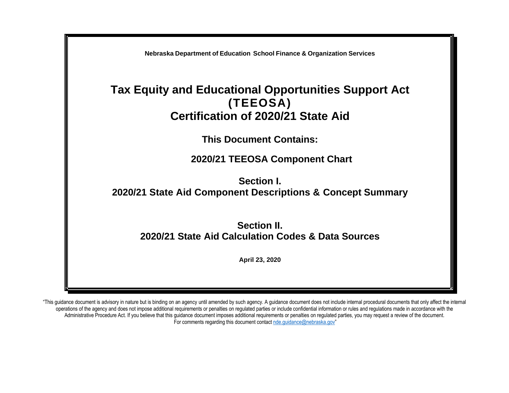

"This guidance document is advisory in nature but is binding on an agency until amended by such agency. A guidance document does not include internal procedural documents that only affect the internal operations of the agency and does not impose additional requirements or penalties on regulated parties or include confidential information or rules and regulations made in accordance with the Administrative Procedure Act. If you believe that this guidance document imposes additional requirements or penalties on regulated parties, you may request a review of the document. For comments regarding this document contac[t nde.guidance@nebraska.gov](mailto:nde.guidance@nebraska.gov)"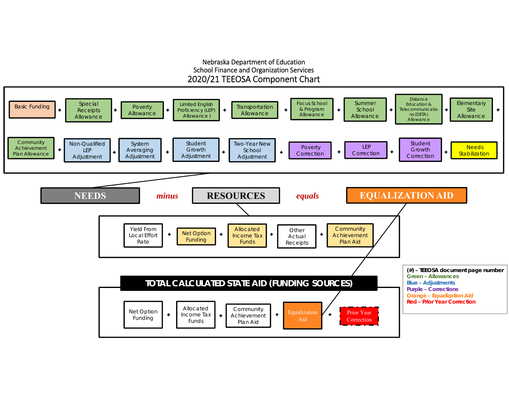#### Nebraska Department of Education School Finance and Organization Services 2020/21 TEEOSA Component Chart

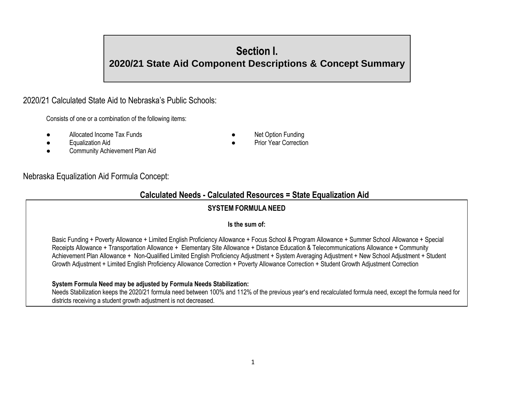# **Section I.**

# **2020/21 State Aid Component Descriptions & Concept Summary**

# 2020/21 Calculated State Aid to Nebraska's Public Schools:

Consists of one or a combination of the following items:

- Allocated Income Tax Funds **Allocated Income Tax Funds Allocated Income Tax** Funding
	-
- **Equalization Aid a Prior Year Correction ●** Prior Year Correction
- Community Achievement Plan Aid

# Nebraska Equalization Aid Formula Concept:

# **Calculated Needs - Calculated Resources = State Equalization Aid**

# **SYSTEM FORMULA NEED**

#### **Is the sum of:**

Basic Funding + Poverty Allowance + Limited English Proficiency Allowance + Focus School & Program Allowance + Summer School Allowance + Special Receipts Allowance + Transportation Allowance + Elementary Site Allowance + Distance Education & Telecommunications Allowance + Community Achievement Plan Allowance + Non-Qualified Limited English Proficiency Adjustment + System Averaging Adjustment + New School Adjustment + Student Growth Adjustment + Limited English Proficiency Allowance Correction + Poverty Allowance Correction + Student Growth Adjustment Correction

# **System Formula Need may be adjusted by Formula Needs Stabilization:**

Needs Stabilization keeps the 2020/21 formula need between 100% and 112% of the previous year's end recalculated formula need, except the formula need for districts receiving a student growth adjustment is not decreased.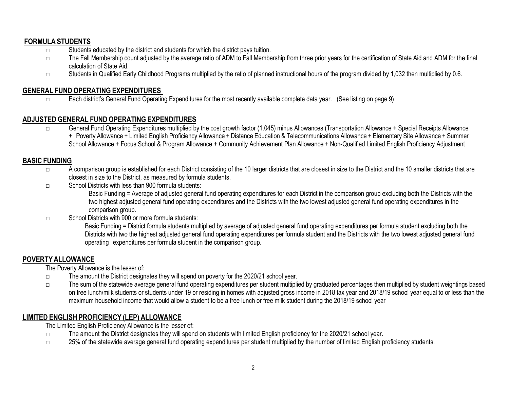# **FORMULA STUDENTS**

- □ Students educated by the district and students for which the district pays tuition.
- □ The Fall Membership count adjusted by the average ratio of ADM to Fall Membership from three prior years for the certification of State Aid and ADM for the final calculation of State Aid.
- □ Students in Qualified Early Childhood Programs multiplied by the ratio of planned instructional hours of the program divided by 1,032 then multiplied by 0.6.

# **GENERAL FUND OPERATING EXPENDITURES**

□ Each district's General Fund Operating Expenditures for the most recently available complete data year. (See listing on page 9)

# **ADJUSTED GENERAL FUND OPERATING EXPENDITURES**

□ General Fund Operating Expenditures multiplied by the cost growth factor (1.045) minus Allowances (Transportation Allowance + Special Receipts Allowance + Poverty Allowance + Limited English Proficiency Allowance + Distance Education & Telecommunications Allowance + Elementary Site Allowance + Summer School Allowance + Focus School & Program Allowance + Community Achievement Plan Allowance + Non-Qualified Limited English Proficiency Adjustment

### **BASIC FUNDING**

- □ A comparison group is established for each District consisting of the 10 larger districts that are closest in size to the District and the 10 smaller districts that are closest in size to the District, as measured by formula students.
- □ School Districts with less than 900 formula students:

Basic Funding = Average of adjusted general fund operating expenditures for each District in the comparison group excluding both the Districts with the two highest adjusted general fund operating expenditures and the Districts with the two lowest adjusted general fund operating expenditures in the comparison group.

□ School Districts with 900 or more formula students:

Basic Funding = District formula students multiplied by average of adjusted general fund operating expenditures per formula student excluding both the Districts with two the highest adjusted general fund operating expenditures per formula student and the Districts with the two lowest adjusted general fund operating expenditures per formula student in the comparison group.

# **POVERTYALLOWANCE**

The Poverty Allowance is the lesser of:

- □ The amount the District designates they will spend on poverty for the 2020/21 school year.
- □ The sum of the statewide average general fund operating expenditures per student multiplied by graduated percentages then multiplied by student weightings based on free lunch/milk students or students under 19 or residing in homes with adjusted gross income in 2018 tax year and 2018/19 school year equal to or less than the maximum household income that would allow a student to be a free lunch or free milk student during the 2018/19 school year

# **LIMITED ENGLISH PROFICIENCY (LEP) ALLOWANCE**

The Limited English Proficiency Allowance is the lesser of:

- □ The amount the District designates they will spend on students with limited English proficiency for the 2020/21 school year.
- □ 25% of the statewide average general fund operating expenditures per student multiplied by the number of limited English proficiency students.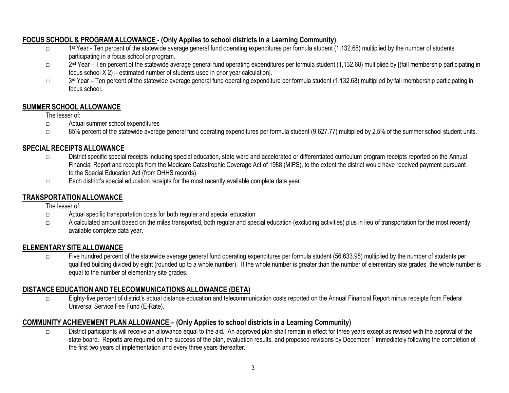# **FOCUS SCHOOL & PROGRAM ALLOWANCE - (Only Applies to school districts in a Learning Community)**

- $\Box$ 1<sup>st</sup> Year - Ten percent of the statewide average general fund operating expenditures per formula student (1,132.68) multiplied by the number of students participating in a focus school or program.
- □ 2<sup>nd</sup> Year Ten percent of the statewide average general fund operating expenditures per formula student (1,132.68) multiplied by [(fall membership participating in focus school X 2) – estimated number of students used in prior year calculation].
- □ 3<sup>rd</sup> Year Ten percent of the statewide average general fund operating expenditure per formula student (1,132.68) multiplied by fall membership participating in focus school.

# **SUMMER SCHOOL ALLOWANCE**

### The lesser of:

- □ Actual summer school expenditures
- $\square$  85% percent of the statewide average general fund operating expenditures per formula student (9,627.77) multiplied by 2.5% of the summer school student units.

# **SPECIAL RECEIPTS ALLOWANCE**

- □ District specific special receipts including special education, state ward and accelerated or differentiated curriculum program receipts reported on the Annual Financial Report and receipts from the Medicare Catastrophic Coverage Act of 1988 (MIPS), to the extent the district would have received payment pursuant to the Special Education Act (from DHHS records).
- □ Each district's special education receipts for the most recently available complete data year.

# **TRANSPORTATIONALLOWANCE**

The lesser of:

- □ Actual specific transportation costs for both regular and special education
- □ A calculated amount based on the miles transported, both regular and special education (excluding activities) plus in lieu of transportation for the most recently available complete data year.

# **ELEMENTARY SITE ALLOWANCE**

□ Five hundred percent of the statewide average general fund operating expenditures per formula student (56,633.95) multiplied by the number of students per qualified building divided by eight (rounded up to a whole number). If the whole number is greater than the number of elementary site grades, the whole number is equal to the number of elementary site grades.

# **DISTANCE EDUCATION AND TELECOMMUNICATIONS ALLOWANCE (DETA)**

□ Eighty-five percent of district's actual distance education and telecommunication costs reported on the Annual Financial Report minus receipts from Federal Universal Service Fee Fund (E-Rate).

# **COMMUNITY ACHIEVEMENT PLAN ALLOWANCE – (Only Applies to school districts in a Learning Community)**

□ District participants will receive an allowance equal to the aid. An approved plan shall remain in effect for three years except as revised with the approval of the state board. Reports are required on the success of the plan, evaluation results, and proposed revisions by December 1 immediately following the completion of the first two years of implementation and every three years thereafter.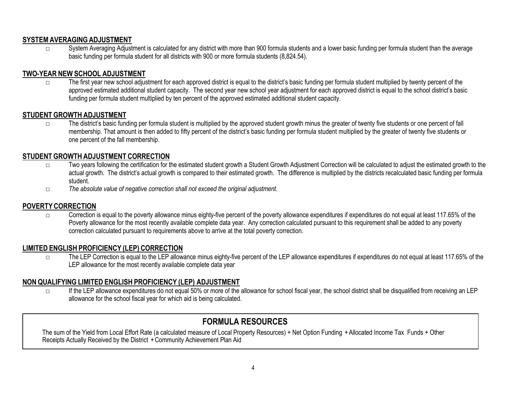#### **SYSTEMAVERAGINGADJUSTMENT**

□ System Averaging Adjustment is calculated for any district with more than 900 formula students and a lower basic funding per formula student than the average basic funding per formula student for all districts with 900 or more formula students (8,824.54).

# **TWO-YEAR NEW SCHOOL ADJUSTMENT**

□ The first year new school adjustment for each approved district is equal to the district's basic funding per formula student multiplied by twenty percent of the approved estimated additional student capacity. The second year new school year adjustment for each approved district is equal to the school district's basic funding per formula student multiplied by ten percent of the approved estimated additional student capacity.

# **STUDENT GROWTH ADJUSTMENT**

□ The district's basic funding per formula student is multiplied by the approved student growth minus the greater of twenty five students or one percent of fall membership. That amount is then added to fifty percent of the district's basic funding per formula student multiplied by the greater of twenty five students or one percent of the fall membership.

# **STUDENT GROWTH ADJUSTMENT CORRECTION**

- □ Two years following the certification for the estimated student growth a Student Growth Adjustment Correction will be calculated to adjust the estimated growth to the actual growth. The district's actual growth is compared to their estimated growth. The difference is multiplied by the districts recalculated basic funding per formula student.
- □ *The absolute value of negative correction shall not exceed the original adjustment.*

# **POVERTYCORRECTION**

 $\square$  Correction is equal to the poverty allowance minus eighty-five percent of the poverty allowance expenditures if expenditures do not equal at least 117.65% of the Poverty allowance for the most recently available complete data year. Any correction calculated pursuant to this requirement shall be added to any poverty correction calculated pursuant to requirements above to arrive at the total poverty correction.

# **LIMITED ENGLISH PROFICIENCY (LEP) CORRECTION**

□ The LEP Correction is equal to the LEP allowance minus eighty-five percent of the LEP allowance expenditures if expenditures do not equal at least 117.65% of the LEP allowance for the most recently available complete data year

# **NON QUALIFYING LIMITED ENGLISH PROFICIENCY (LEP) ADJUSTMENT**

□ If the LEP allowance expenditures do not equal 50% or more of the allowance for school fiscal year, the school district shall be disqualified from receiving an LEP allowance for the school fiscal year for which aid is being calculated.

# **FORMULA RESOURCES**

The sum of the Yield from Local Effort Rate (a calculated measure of Local Property Resources) + Net Option Funding +Allocated Income Tax Funds + Other Receipts Actually Received by the District + Community Achievement Plan Aid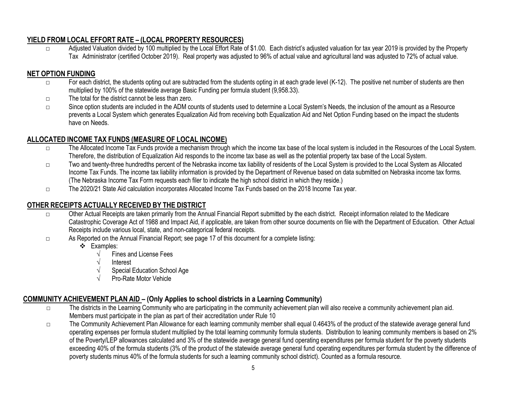# **YIELD FROM LOCAL EFFORT RATE – (LOCAL PROPERTY RESOURCES)**

□ Adjusted Valuation divided by 100 multiplied by the Local Effort Rate of \$1.00. Each district's adjusted valuation for tax year 2019 is provided by the Property Tax Administrator (certified October 2019). Real property was adjusted to 96% of actual value and agricultural land was adjusted to 72% of actual value.

# **NET OPTION FUNDING**

- □ For each district, the students opting out are subtracted from the students opting in at each grade level (K-12). The positive net number of students are then multiplied by 100% of the statewide average Basic Funding per formula student (9,958.33).
- □ The total for the district cannot be less than zero.
- □ Since option students are included in the ADM counts of students used to determine a Local System's Needs, the inclusion of the amount as a Resource prevents a Local System which generates Equalization Aid from receiving both Equalization Aid and Net Option Funding based on the impact the students have on Needs.

# **ALLOCATED INCOME TAX FUNDS (MEASURE OF LOCAL INCOME)**

- □ The Allocated Income Tax Funds provide a mechanism through which the income tax base of the local system is included in the Resources of the Local System. Therefore, the distribution of Equalization Aid responds to the income tax base as well as the potential property tax base of the Local System.
- □ Two and twenty-three hundredths percent of the Nebraska income tax liability of residents of the Local System is provided to the Local System as Allocated Income Tax Funds. The income tax liability information is provided by the Department of Revenue based on data submitted on Nebraska income tax forms. (The Nebraska Income Tax Form requests each filer to indicate the high school district in which they reside.)
- □ The 2020/21 State Aid calculation incorporates Allocated Income Tax Funds based on the 2018 Income Tax year.

# **OTHER RECEIPTS ACTUALLY RECEIVED BY THE DISTRICT**

- □ Other Actual Receipts are taken primarily from the Annual Financial Report submitted by the each district. Receipt information related to the Medicare Catastrophic Coverage Act of 1988 and Impact Aid, if applicable, are taken from other source documents on file with the Department of Education. Other Actual Receipts include various local, state, and non-categorical federal receipts.
- □ As Reported on the Annual Financial Report; see page 17 of this document for a complete listing:
	- Examples:
		- $\sqrt{\frac{1}{1}}$  Fines and License Fees
		- √ Interest
		- Special Education School Age
		- √ Pro-Rate Motor Vehicle

# **COMMUNITY ACHIEVEMENT PLAN AID – (Only Applies to school districts in a Learning Community)**

- □ The districts in the Learning Community who are participating in the community achievement plan will also receive a community achievement plan aid. Members must participate in the plan as part of their accreditation under Rule 10
- □ The Community Achievement Plan Allowance for each learning community member shall equal 0.4643% of the product of the statewide average general fund operating expenses per formula student multiplied by the total learning community formula students. Distribution to leaning community members is based on 2% of the Poverty/LEP allowances calculated and 3% of the statewide average general fund operating expenditures per formula student for the poverty students exceeding 40% of the formula students (3% of the product of the statewide average general fund operating expenditures per formula student by the difference of poverty students minus 40% of the formula students for such a learning community school district). Counted as a formula resource.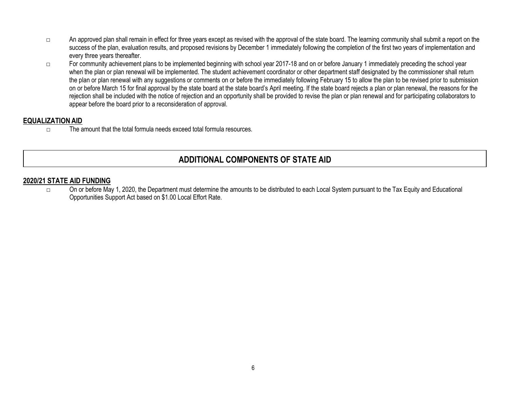- □ An approved plan shall remain in effect for three years except as revised with the approval of the state board. The learning community shall submit a report on the success of the plan, evaluation results, and proposed revisions by December 1 immediately following the completion of the first two years of implementation and every three years thereafter.
- □ For community achievement plans to be implemented beginning with school year 2017-18 and on or before January 1 immediately preceding the school year when the plan or plan renewal will be implemented. The student achievement coordinator or other department staff designated by the commissioner shall return the plan or plan renewal with any suggestions or comments on or before the immediately following February 15 to allow the plan to be revised prior to submission on or before March 15 for final approval by the state board at the state board's April meeting. If the state board rejects a plan or plan renewal, the reasons for the rejection shall be included with the notice of rejection and an opportunity shall be provided to revise the plan or plan renewal and for participating collaborators to appear before the board prior to a reconsideration of approval.

#### **EQUALIZATION AID**

 $\Box$  The amount that the total formula needs exceed total formula resources.

# **ADDITIONAL COMPONENTS OF STATE AID**

#### **2020/21 STATE AID FUNDING**

□ On or before May 1, 2020, the Department must determine the amounts to be distributed to each Local System pursuant to the Tax Equity and Educational Opportunities Support Act based on \$1.00 Local Effort Rate.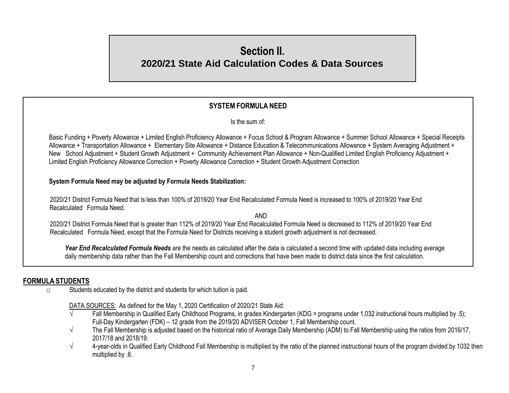# **Section II. 2020/21 State Aid Calculation Codes & Data Sources**

# **SYSTEM FORMULA NEED**

Is the sum of:

Basic Funding + Poverty Allowance + Limited English Proficiency Allowance + Focus School & Program Allowance + Summer School Allowance + Special Receipts Allowance + Transportation Allowance + Elementary Site Allowance + Distance Education & Telecommunications Allowance + System Averaging Adjustment + New School Adjustment + Student Growth Adjustment + Community Achievement Plan Allowance + Non-Qualified Limited English Proficiency Adjustment + Limited English Proficiency Allowance Correction + Poverty Allowance Correction + Student Growth Adjustment Correction

**System Formula Need may be adjusted by Formula Needs Stabilization:**

2020/21 District Formula Need that is less than 100% of 2019/20 Year End Recalculated Formula Need is increased to 100% of 2019/20 Year End Recalculated Formula Need.

AND 2020/21 District Formula Need that is greater than 112% of 2019/20 Year End Recalculated Formula Need is decreased to 112% of 2019/20 Year End Recalculated Formula Need, except that the Formula Need for Districts receiving a student growth adjustment is not decreased.

Year End Recalculated Formula Needs are the needs as calculated after the data is calculated a second time with updated data including average daily membership data rather than the Fall Membership count and corrections that have been made to district data since the first calculation.

### **FORMULA STUDENTS**

□ Students educated by the district and students for which tuition is paid.

DATA SOURCES: As defined for the May 1, 2020 Certification of 2020/21 State Aid:

- √ Fall Membership in Qualified Early Childhood Programs, in grades Kindergarten (KDG = programs under 1,032 instructional hours multiplied by .5); Full-Day Kindergarten (FDK) – 12 grade from the 2019/20 ADVISER October 1, Fall Membership count.
- $\sqrt{ }$  The Fall Membership is adjusted based on the historical ratio of Average Daily Membership (ADM) to Fall Membership using the ratios from 2016/17, 2017/18 and 2018/19.
- $\sqrt{4}$  4-year-olds in Qualified Early Childhood Fall Membership is multiplied by the ratio of the planned instructional hours of the program divided by 1032 then multiplied by .6.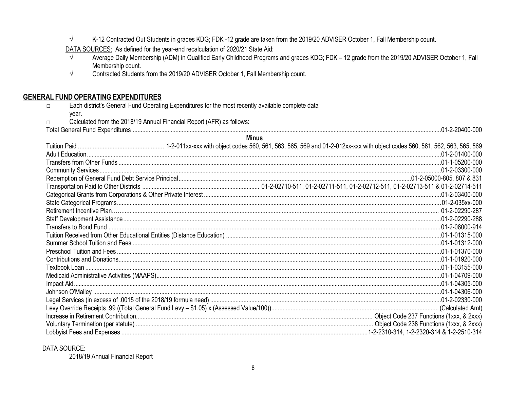$\sqrt{ }$ K-12 Contracted Out Students in grades KDG; FDK -12 grade are taken from the 2019/20 ADVISER October 1, Fall Membership count.

DATA SOURCES: As defined for the year-end recalculation of 2020/21 State Aid:

- Average Daily Membership (ADM) in Qualified Early Childhood Programs and grades KDG; FDK 12 grade from the 2019/20 ADVISER October 1, Fall  $\sqrt{ }$ Membership count.
- $\sqrt{}$ Contracted Students from the 2019/20 ADVISER October 1, Fall Membership count.

#### **GENERAL FUND OPERATING EXPENDITURES**

- Each district's General Fund Operating Expenditures for the most recently available complete data  $\Box$ 
	- year.

 $\Box$ 

- Calculated from the 2018/19 Annual Financial Report (AFR) as follows:
- 

| <b>Minus</b> |  |  |
|--------------|--|--|
|              |  |  |
|              |  |  |
|              |  |  |
|              |  |  |
|              |  |  |
|              |  |  |
|              |  |  |
|              |  |  |
|              |  |  |
|              |  |  |
|              |  |  |
|              |  |  |
|              |  |  |
|              |  |  |
|              |  |  |
|              |  |  |
|              |  |  |
|              |  |  |
|              |  |  |
|              |  |  |
|              |  |  |
|              |  |  |
|              |  |  |
|              |  |  |

#### **DATA SOURCE:**

2018/19 Annual Financial Report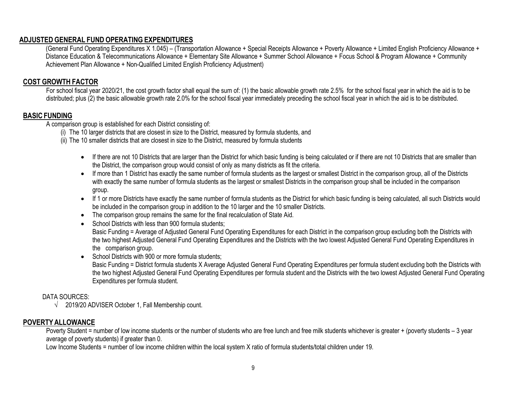#### **ADJUSTED GENERAL FUND OPERATING EXPENDITURES**

(General Fund Operating Expenditures X 1.045) – (Transportation Allowance + Special Receipts Allowance + Poverty Allowance + Limited English Proficiency Allowance + Distance Education & Telecommunications Allowance + Elementary Site Allowance + Summer School Allowance + Focus School & Program Allowance + Community Achievement Plan Allowance + Non-Qualified Limited English Proficiency Adjustment)

#### **COST GROWTH FACTOR**

For school fiscal year 2020/21, the cost growth factor shall equal the sum of: (1) the basic allowable growth rate 2.5% for the school fiscal year in which the aid is to be distributed; plus (2) the basic allowable growth rate 2.0% for the school fiscal year immediately preceding the school fiscal year in which the aid is to be distributed.

#### **BASIC FUNDING**

A comparison group is established for each District consisting of:

- (i) The 10 larger districts that are closest in size to the District, measured by formula students, and
- (ii) The 10 smaller districts that are closest in size to the District, measured by formula students
	- If there are not 10 Districts that are larger than the District for which basic funding is being calculated or if there are not 10 Districts that are smaller than the District, the comparison group would consist of only as many districts as fit the criteria.
	- If more than 1 District has exactly the same number of formula students as the largest or smallest District in the comparison group, all of the Districts with exactly the same number of formula students as the largest or smallest Districts in the comparison group shall be included in the comparison group.
	- If 1 or more Districts have exactly the same number of formula students as the District for which basic funding is being calculated, all such Districts would be included in the comparison group in addition to the 10 larger and the 10 smaller Districts.
	- The comparison group remains the same for the final recalculation of State Aid.
	- School Districts with less than 900 formula students; Basic Funding = Average of Adjusted General Fund Operating Expenditures for each District in the comparison group excluding both the Districts with the two highest Adjusted General Fund Operating Expenditures and the Districts with the two lowest Adjusted General Fund Operating Expenditures in the comparison group.
	- School Districts with 900 or more formula students:

Basic Funding = District formula students X Average Adjusted General Fund Operating Expenditures per formula student excluding both the Districts with the two highest Adjusted General Fund Operating Expenditures per formula student and the Districts with the two lowest Adjusted General Fund Operating Expenditures per formula student.

#### DATA SOURCES:

 $\sqrt{2019/20}$  ADVISER October 1, Fall Membership count.

#### **POVERTYALLOWANCE**

Poverty Student = number of low income students or the number of students who are free lunch and free milk students whichever is greater + (poverty students – 3 year average of poverty students) if greater than 0.

Low Income Students = number of low income children within the local system X ratio of formula students/total children under 19.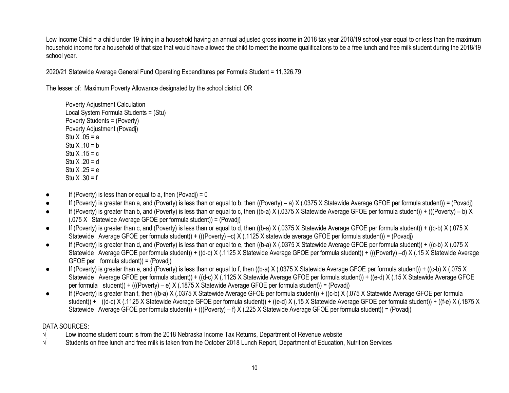Low Income Child = a child under 19 living in a household having an annual adjusted gross income in 2018 tax year 2018/19 school year equal to or less than the maximum household income for a household of that size that would have allowed the child to meet the income qualifications to be a free lunch and free milk student during the 2018/19 school year.

2020/21 Statewide Average General Fund Operating Expenditures per Formula Student = 11,326.79

The lesser of: Maximum Poverty Allowance designated by the school district OR

Poverty Adjustment Calculation Local System Formula Students = (Stu) Poverty Students = (Poverty) Poverty Adjustment (Povadj) Stu  $X .05 = a$ Stu  $X .10 = b$ Stu  $X$  .15 = c Stu  $X .20 = d$ Stu  $X \cdot 25 = e$ Stu  $X .30 = f$ 

- $\bullet$  If (Poverty) is less than or equal to a, then (Povadi) = 0
- If (Poverty) is greater than a, and (Poverty) is less than or equal to b, then ((Poverty) a) X (.0375 X Statewide Average GFOE per formula student)) = (Povadj)
- If (Poverty) is greater than b, and (Poverty) is less than or equal to c, then ((b-a) X (.0375 X Statewide Average GFOE per formula student)) + (((Poverty) b) X (.075 X Statewide Average GFOE per formula student)) = (Povadj)
- If (Poverty) is greater than c, and (Poverty) is less than or equal to d, then ((b-a) X (.0375 X Statewide Average GFOE per formula student)) + ((c-b) X (.075 X Statewide Average GFOE per formula student)) + (((Poverty) –c) X (.1125 X statewide average GFOE per formula student)) = (Povadj)
- If (Poverty) is greater than d, and (Poverty) is less than or equal to e, then ((b-a) X (.0375 X Statewide Average GFOE per formula student)) + ((c-b) X (.075 X Statewide Average GFOE per formula student)) + ((d-c) X (.1125 X Statewide Average GFOE per formula student)) + (((Poverty) –d) X (.15 X Statewide Average GFOE per formula student)) = (Povadj)
- If (Poverty) is greater than e, and (Poverty) is less than or equal to f, then ((b-a)  $X$  (.0375 X Statewide Average GFOE per formula student)) + ((c-b)  $X$  (.075 X Statewide Average GFOE per formula student)) + ((d-c) X (.1125 X Statewide Average GFOE per formula student)) + ((e-d) X (.15 X Statewide Average GFOE per formula student)) + (((Poverty) – e) X (.1875 X Statewide Average GFOE per formula student)) = (Povadj)
- If (Poverty) is greater than f, then ((b-a) X (.0375 X Statewide Average GFOE per formula student)) + ((c-b) X (.075 X Statewide Average GFOE per formula student)) + ((d-c) X (.1125 X Statewide Average GFOE per formula student)) + ((e-d) X (.15 X Statewide Average GFOE per formula student)) + ((f-e) X (.1875 X Statewide Average GFOE per formula student)) + (((Poverty) – f) X (.225 X Statewide Average GFOE per formula student)) = (Povadj)

### DATA SOURCES:

- √ Low income student count is from the 2018 Nebraska Income Tax Returns, Department of Revenue website
- $\sqrt{ }$  Students on free lunch and free milk is taken from the October 2018 Lunch Report, Department of Education, Nutrition Services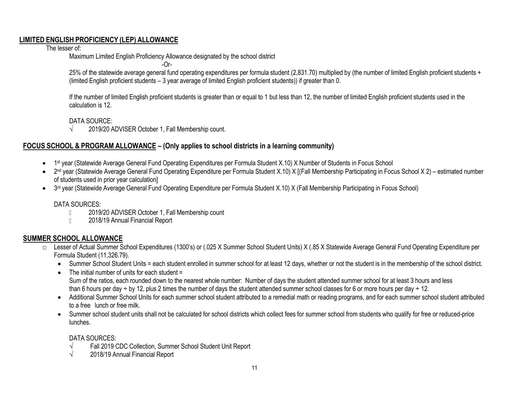#### **LIMITED ENGLISH PROFICIENCY (LEP) ALLOWANCE**

The lesser of:

Maximum Limited English Proficiency Allowance designated by the school district

-Or-

25% of the statewide average general fund operating expenditures per formula student (2,831.70) multiplied by (the number of limited English proficient students + (limited English proficient students – 3 year average of limited English proficient students)) if greater than 0.

If the number of limited English proficient students is greater than or equal to 1 but less than 12, the number of limited English proficient students used in the calculation is 12.

DATA SOURCE:

 $\sqrt{2019/20}$  ADVISER October 1, Fall Membership count.

# **FOCUS SCHOOL & PROGRAM ALLOWANCE – (Only applies to school districts in a learning community)**

- 1<sup>st</sup> year (Statewide Average General Fund Operating Expenditures per Formula Student X.10) X Number of Students in Focus School
- 2<sup>nd</sup> year (Statewide Average General Fund Operating Expenditure per Formula Student X.10) X [(Fall Membership Participating in Focus School X 2) estimated number of students used in prior year calculation]
- 3<sup>rd</sup> year (Statewide Average General Fund Operating Expenditure per Formula Student X.10) X (Fall Membership Participating in Focus School)

#### DATA SOURCES:

- 2019/20 ADVISER October 1, Fall Membership count  $\mathbb{R}$
- 2018/19 Annual Financial Report  $\mathbb{R}$

# **SUMMER SCHOOL ALLOWANCE**

- □ Lesser of Actual Summer School Expenditures (1300's) or (.025 X Summer School Student Units) X (.85 X Statewide Average General Fund Operating Expenditure per Formula Student (11,326.79).
	- Summer School Student Units = each student enrolled in summer school for at least 12 days, whether or not the student is in the membership of the school district.
	- The initial number of units for each student = Sum of the ratios, each rounded down to the nearest whole number: Number of days the student attended summer school for at least 3 hours and less than 6 hours per day  $\div$  by 12, plus 2 times the number of days the student attended summer school classes for 6 or more hours per day  $\div$  12.
	- Additional Summer School Units for each summer school student attributed to a remedial math or reading programs, and for each summer school student attributed to a free lunch or free milk.
	- Summer school student units shall not be calculated for school districts which collect fees for summer school from students who qualify for free or reduced-price lunches.

### DATA SOURCES:

- √ Fall 2019 CDC Collection, Summer School Student Unit Report
- $\sqrt{2018/19}$  Annual Financial Report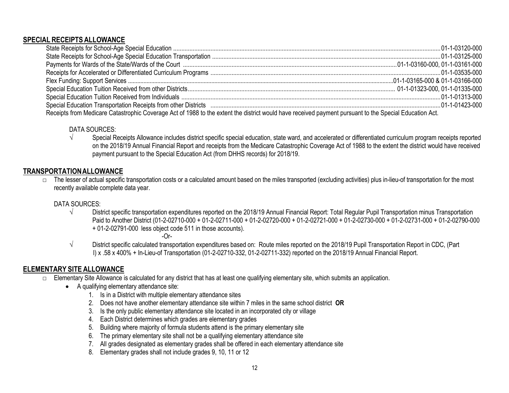#### **SPECIAL RECEIPTS ALLOWANCE**

| Receipts from Medicare Catastrophic Coverage Act of 1988 to the extent the district would have received payment pursuant to the Special Education Act. |  |  |
|--------------------------------------------------------------------------------------------------------------------------------------------------------|--|--|

#### DATA SOURCES:

√ Special Receipts Allowance includes district specific special education, state ward, and accelerated or differentiated curriculum program receipts reported on the 2018/19 Annual Financial Report and receipts from the Medicare Catastrophic Coverage Act of 1988 to the extent the district would have received payment pursuant to the Special Education Act (from DHHS records) for 2018/19.

### **TRANSPORTATIONALLOWANCE**

 $\Box$  The lesser of actual specific transportation costs or a calculated amount based on the miles transported (excluding activities) plus in-lieu-of transportation for the most recently available complete data year.

#### DATA SOURCES:

√ District specific transportation expenditures reported on the 2018/19 Annual Financial Report: Total Regular Pupil Transportation minus Transportation Paid to Another District (01-2-02710-000 + 01-2-02711-000 + 01-2-02720-000 + 01-2-02721-000 + 01-2-02730-000 + 01-2-02731-000 + 01-2-02790-000 + 01-2-02791-000 less object code 511 in those accounts).

-Or-

√ District specific calculated transportation expenditures based on: Route miles reported on the 2018/19 Pupil Transportation Report in CDC, (Part I) x .58 x 400% + In-Lieu-of Transportation (01-2-02710-332, 01-2-02711-332) reported on the 2018/19 Annual Financial Report.

# **ELEMENTARY SITE ALLOWANCE**

- □ Elementary Site Allowance is calculated for any district that has at least one qualifying elementary site, which submits an application.
	- A qualifying elementary attendance site:
		- 1. Is in a District with multiple elementary attendance sites
		- 2. Does not have another elementary attendance site within 7 miles in the same school district **OR**
		- 3. Is the only public elementary attendance site located in an incorporated city or village
		- 4. Each District determines which grades are elementary grades
		- 5. Building where majority of formula students attend is the primary elementary site
		- 6. The primary elementary site shall not be a qualifying elementary attendance site
		- 7. All grades designated as elementary grades shall be offered in each elementary attendance site
		- 8. Elementary grades shall not include grades 9, 10, 11 or 12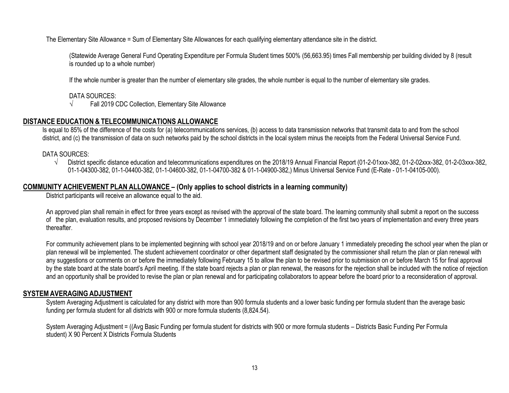The Elementary Site Allowance = Sum of Elementary Site Allowances for each qualifying elementary attendance site in the district.

(Statewide Average General Fund Operating Expenditure per Formula Student times 500% (56,663.95) times Fall membership per building divided by 8 (result is rounded up to a whole number)

If the whole number is greater than the number of elementary site grades, the whole number is equal to the number of elementary site grades.

#### DATA SOURCES:

√ Fall 2019 CDC Collection, Elementary Site Allowance

#### **DISTANCE EDUCATION & TELECOMMUNICATIONS ALLOWANCE**

Is equal to 85% of the difference of the costs for (a) telecommunications services, (b) access to data transmission networks that transmit data to and from the school district, and (c) the transmission of data on such networks paid by the school districts in the local system minus the receipts from the Federal Universal Service Fund.

#### DATA SOURCES:

√ District specific distance education and telecommunications expenditures on the 2018/19 Annual Financial Report (01-2-01xxx-382, 01-2-02xxx-382, 01-2-03xxx-382, 01-1-04300-382, 01-1-04400-382, 01-1-04600-382, 01-1-04700-382 & 01-1-04900-382,) Minus Universal Service Fund (E-Rate - 01-1-04105-000).

#### **COMMUNITY ACHIEVEMENT PLAN ALLOWANCE – (Only applies to school districts in a learning community)**

District participants will receive an allowance equal to the aid.

An approved plan shall remain in effect for three years except as revised with the approval of the state board. The learning community shall submit a report on the success of the plan, evaluation results, and proposed revisions by December 1 immediately following the completion of the first two years of implementation and every three years thereafter.

For community achievement plans to be implemented beginning with school year 2018/19 and on or before January 1 immediately preceding the school year when the plan or plan renewal will be implemented. The student achievement coordinator or other department staff designated by the commissioner shall return the plan or plan renewal with any suggestions or comments on or before the immediately following February 15 to allow the plan to be revised prior to submission on or before March 15 for final approval by the state board at the state board's April meeting. If the state board rejects a plan or plan renewal, the reasons for the rejection shall be included with the notice of rejection and an opportunity shall be provided to revise the plan or plan renewal and for participating collaborators to appear before the board prior to a reconsideration of approval.

#### **SYSTEMAVERAGING ADJUSTMENT**

System Averaging Adjustment is calculated for any district with more than 900 formula students and a lower basic funding per formula student than the average basic funding per formula student for all districts with 900 or more formula students (8,824.54).

System Averaging Adjustment = ((Avg Basic Funding per formula student for districts with 900 or more formula students – Districts Basic Funding Per Formula student) X 90 Percent X Districts Formula Students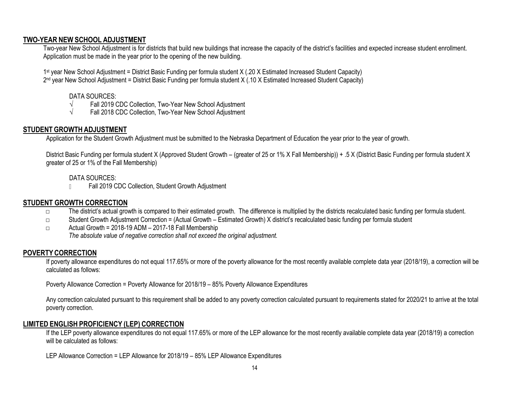#### **TWO-YEAR NEW SCHOOL ADJUSTMENT**

Two-year New School Adjustment is for districts that build new buildings that increase the capacity of the district's facilities and expected increase student enrollment. Application must be made in the year prior to the opening of the new building.

1 st year New School Adjustment = District Basic Funding per formula student X (.20 X Estimated Increased Student Capacity)

2<sup>nd</sup> year New School Adjustment = District Basic Funding per formula student X (.10 X Estimated Increased Student Capacity)

### DATA SOURCES:

- √ Fall 2019 CDC Collection, Two-Year New School Adjustment
- √ Fall 2018 CDC Collection, Two-Year New School Adjustment

# **STUDENT GROWTH ADJUSTMENT**

Application for the Student Growth Adjustment must be submitted to the Nebraska Department of Education the year prior to the year of growth.

District Basic Funding per formula student X (Approved Student Growth – (greater of 25 or 1% X Fall Membership)) + .5 X (District Basic Funding per formula student X greater of 25 or 1% of the Fall Membership)

# DATA SOURCES:

Fall 2019 CDC Collection, Student Growth Adjustment  $\mathbb{R}$ 

# **STUDENT GROWTH CORRECTION**

- □ The district's actual growth is compared to their estimated growth. The difference is multiplied by the districts recalculated basic funding per formula student.
- □ Student Growth Adjustment Correction = (Actual Growth Estimated Growth) X district's recalculated basic funding per formula student
- □ Actual Growth = 2018-19 ADM 2017-18 Fall Membership *The absolute value of negative correction shall not exceed the original adjustment.*

# **POVERTYCORRECTION**

If poverty allowance expenditures do not equal 117.65% or more of the poverty allowance for the most recently available complete data year (2018/19), a correction will be calculated as follows:

Poverty Allowance Correction = Poverty Allowance for 2018/19 – 85% Poverty Allowance Expenditures

Any correction calculated pursuant to this requirement shall be added to any poverty correction calculated pursuant to requirements stated for 2020/21 to arrive at the total poverty correction.

# **LIMITED ENGLISH PROFICIENCY (LEP) CORRECTION**

If the LEP poverty allowance expenditures do not equal 117.65% or more of the LEP allowance for the most recently available complete data year (2018/19) a correction will be calculated as follows:

LEP Allowance Correction = LEP Allowance for 2018/19 – 85% LEP Allowance Expenditures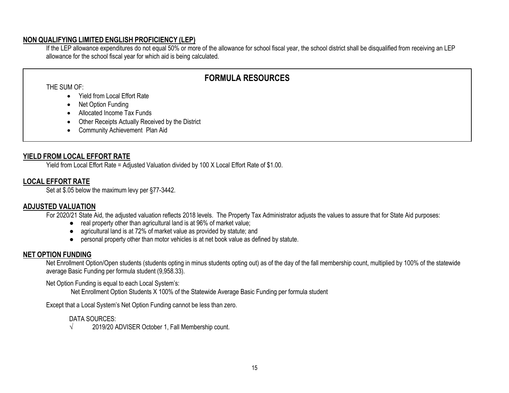#### **NON QUALIFYING LIMITED ENGLISH PROFICIENCY (LEP)**

If the LEP allowance expenditures do not equal 50% or more of the allowance for school fiscal year, the school district shall be disqualified from receiving an LEP allowance for the school fiscal year for which aid is being calculated.

# **FORMULA RESOURCES**

THE SUM OF:

- Yield from Local Effort Rate
- Net Option Funding
- Allocated Income Tax Funds
- Other Receipts Actually Received by the District
- Community Achievement Plan Aid

### **YIELD FROM LOCAL EFFORT RATE**

Yield from Local Effort Rate = Adjusted Valuation divided by 100 X Local Effort Rate of \$1.00.

# **LOCAL EFFORT RATE**

Set at \$.05 below the maximum levy per §77-3442.

# **ADJUSTED VALUATION**

For 2020/21 State Aid, the adjusted valuation reflects 2018 levels. The Property Tax Administrator adjusts the values to assure that for State Aid purposes:

- real property other than agricultural land is at 96% of market value;
- agricultural land is at 72% of market value as provided by statute; and
- personal property other than motor vehicles is at net book value as defined by statute.

# **NET OPTION FUNDING**

Net Enrollment Option/Open students (students opting in minus students opting out) as of the day of the fall membership count, multiplied by 100% of the statewide average Basic Funding per formula student (9,958.33).

Net Option Funding is equal to each Local System's:

Net Enrollment Option Students X 100% of the Statewide Average Basic Funding per formula student

Except that a Local System's Net Option Funding cannot be less than zero.

### DATA SOURCES:

 $\sqrt{2019/20}$  ADVISER October 1, Fall Membership count.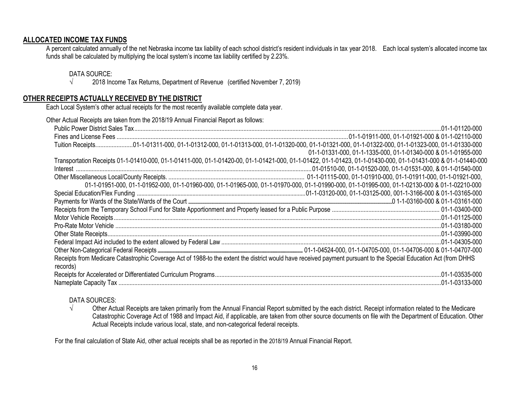#### **ALLOCATED INCOME TAX FUNDS**

A percent calculated annually of the net Nebraska income tax liability of each school district's resident individuals in tax year 2018. Each local system's allocated income tax funds shall be calculated by multiplying the local system's income tax liability certified by 2.23%.

#### DATA SOURCE:

 $\sqrt{2018}$  Income Tax Returns, Department of Revenue (certified November 7, 2019)

#### **OTHER RECEIPTS ACTUALLY RECEIVED BY THE DISTRICT**

Each Local System's other actual receipts for the most recently available complete data year.

| Other Actual Receipts are taken from the 2018/19 Annual Financial Report as follows:                                                                                         |                                                                                                                                                 |
|------------------------------------------------------------------------------------------------------------------------------------------------------------------------------|-------------------------------------------------------------------------------------------------------------------------------------------------|
|                                                                                                                                                                              |                                                                                                                                                 |
|                                                                                                                                                                              |                                                                                                                                                 |
|                                                                                                                                                                              |                                                                                                                                                 |
|                                                                                                                                                                              | 01-1-01331-000, 01-1-1335-000, 01-1-01340-000 & 01-1-01955-000                                                                                  |
| Transportation Receipts 01-1-01410-000, 01-1-01411-000, 01-1-01420-00, 01-1-01421-000, 01-1-01422, 01-1-01423, 01-1-01430-000, 01-1-01431-000 & 01-1-01440-000               |                                                                                                                                                 |
|                                                                                                                                                                              |                                                                                                                                                 |
|                                                                                                                                                                              |                                                                                                                                                 |
|                                                                                                                                                                              | 01-1-01951-000, 01-1-01952-000, 01-1-01960-000, 01-1-01965-000, 01-1-01970-000, 01-1-01990-000, 01-1-01995-000, 01-1-02130-000 & 01-1-02210-000 |
|                                                                                                                                                                              |                                                                                                                                                 |
|                                                                                                                                                                              |                                                                                                                                                 |
|                                                                                                                                                                              |                                                                                                                                                 |
|                                                                                                                                                                              |                                                                                                                                                 |
|                                                                                                                                                                              |                                                                                                                                                 |
|                                                                                                                                                                              |                                                                                                                                                 |
|                                                                                                                                                                              |                                                                                                                                                 |
|                                                                                                                                                                              |                                                                                                                                                 |
| Receipts from Medicare Catastrophic Coverage Act of 1988-to the extent the district would have received payment pursuant to the Special Education Act (from DHHS<br>records) |                                                                                                                                                 |
|                                                                                                                                                                              |                                                                                                                                                 |
|                                                                                                                                                                              |                                                                                                                                                 |

#### DATA SOURCES:

√ Other Actual Receipts are taken primarily from the Annual Financial Report submitted by the each district. Receipt information related to the Medicare Catastrophic Coverage Act of 1988 and Impact Aid, if applicable, are taken from other source documents on file with the Department of Education. Other Actual Receipts include various local, state, and non-categorical federal receipts.

For the final calculation of State Aid, other actual receipts shall be as reported in the 2018/19 Annual Financial Report.